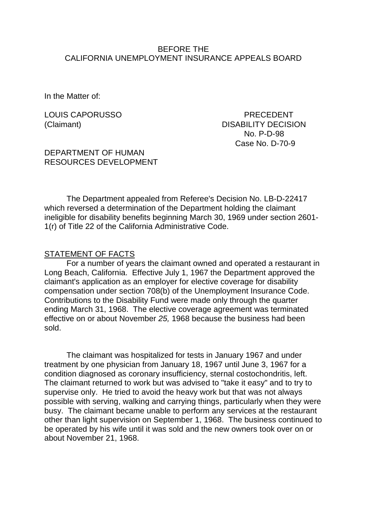#### BEFORE THE CALIFORNIA UNEMPLOYMENT INSURANCE APPEALS BOARD

In the Matter of:

LOUIS CAPORUSSO PRECEDENT (Claimant) DISABILITY DECISION No. P-D-98 Case No. D-70-9

DEPARTMENT OF HUMAN RESOURCES DEVELOPMENT

The Department appealed from Referee's Decision No. LB-D-22417 which reversed a determination of the Department holding the claimant ineligible for disability benefits beginning March 30, 1969 under section 2601- 1(r) of Title 22 of the California Administrative Code.

#### STATEMENT OF FACTS

For a number of years the claimant owned and operated a restaurant in Long Beach, California. Effective July 1, 1967 the Department approved the claimant's application as an employer for elective coverage for disability compensation under section 708(b) of the Unemployment Insurance Code. Contributions to the Disability Fund were made only through the quarter ending March 31, 1968. The elective coverage agreement was terminated effective on or about November *25,* 1968 because the business had been sold.

The claimant was hospitalized for tests in January 1967 and under treatment by one physician from January 18, 1967 until June 3, 1967 for a condition diagnosed as coronary insufficiency, sternal costochondritis, left. The claimant returned to work but was advised to "take it easy" and to try to supervise only. He tried to avoid the heavy work but that was not always possible with serving, walking and carrying things, particularly when they were busy. The claimant became unable to perform any services at the restaurant other than light supervision on September 1, 1968. The business continued to be operated by his wife until it was sold and the new owners took over on or about November 21, 1968.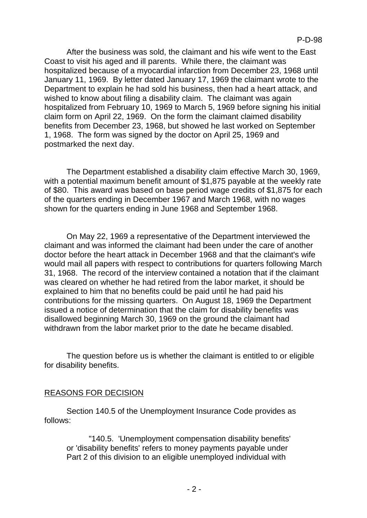After the business was sold, the claimant and his wife went to the East Coast to visit his aged and ill parents. While there, the claimant was hospitalized because of a myocardial infarction from December 23, 1968 until January 11, 1969. By letter dated January 17, 1969 the claimant wrote to the Department to explain he had sold his business, then had a heart attack, and wished to know about filing a disability claim. The claimant was again hospitalized from February 10, 1969 to March 5, 1969 before signing his initial claim form on April 22, 1969. On the form the claimant claimed disability benefits from December 23, 1968, but showed he last worked on September 1, 1968. The form was signed by the doctor on April 25, 1969 and postmarked the next day.

The Department established a disability claim effective March 30, 1969, with a potential maximum benefit amount of \$1,875 payable at the weekly rate of \$80. This award was based on base period wage credits of \$1,875 for each of the quarters ending in December 1967 and March 1968, with no wages shown for the quarters ending in June 1968 and September 1968.

On May 22, 1969 a representative of the Department interviewed the claimant and was informed the claimant had been under the care of another doctor before the heart attack in December 1968 and that the claimant's wife would mail all papers with respect to contributions for quarters following March 31, 1968. The record of the interview contained a notation that if the claimant was cleared on whether he had retired from the labor market, it should be explained to him that no benefits could be paid until he had paid his contributions for the missing quarters. On August 18, 1969 the Department issued a notice of determination that the claim for disability benefits was disallowed beginning March 30, 1969 on the ground the claimant had withdrawn from the labor market prior to the date he became disabled.

The question before us is whether the claimant is entitled to or eligible for disability benefits.

## REASONS FOR DECISION

Section 140.5 of the Unemployment Insurance Code provides as follows:

"140.5. 'Unemployment compensation disability benefits' or 'disability benefits' refers to money payments payable under Part 2 of this division to an eligible unemployed individual with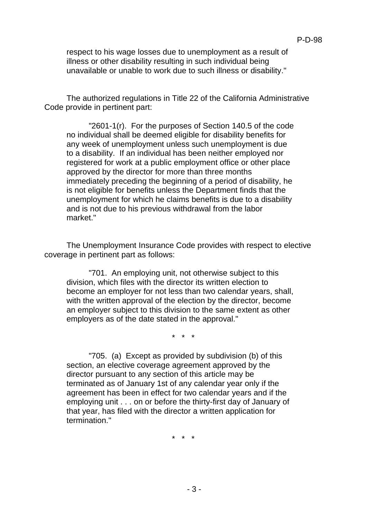respect to his wage losses due to unemployment as a result of illness or other disability resulting in such individual being unavailable or unable to work due to such illness or disability."

The authorized regulations in Title 22 of the California Administrative Code provide in pertinent part:

"2601-1(r). For the purposes of Section 140.5 of the code no individual shall be deemed eligible for disability benefits for any week of unemployment unless such unemployment is due to a disability. If an individual has been neither employed nor registered for work at a public employment office or other place approved by the director for more than three months immediately preceding the beginning of a period of disability, he is not eligible for benefits unless the Department finds that the unemployment for which he claims benefits is due to a disability and is not due to his previous withdrawal from the labor market."

The Unemployment Insurance Code provides with respect to elective coverage in pertinent part as follows:

"701. An employing unit, not otherwise subject to this division, which files with the director its written election to become an employer for not less than two calendar years, shall, with the written approval of the election by the director, become an employer subject to this division to the same extent as other employers as of the date stated in the approval."

\* \* \*

"705. (a) Except as provided by subdivision (b) of this section, an elective coverage agreement approved by the director pursuant to any section of this article may be terminated as of January 1st of any calendar year only if the agreement has been in effect for two calendar years and if the employing unit . . . on or before the thirty-first day of January of that year, has filed with the director a written application for termination."

\* \* \*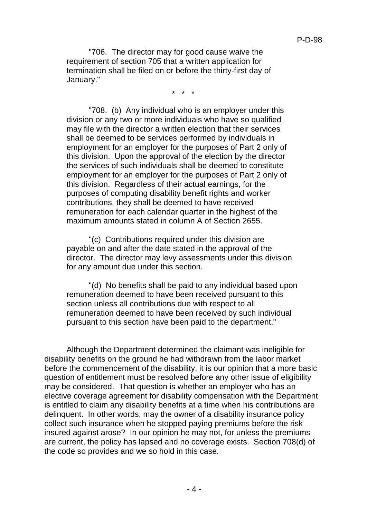"706. The director may for good cause waive the requirement of section 705 that a written application for termination shall be filed on or before the thirty-first day of January."

\* \* \*

"708. (b) Any individual who is an employer under this division or any two or more individuals who have so qualified may file with the director a written election that their services shall be deemed to be services performed by individuals in employment for an employer for the purposes of Part 2 only of this division. Upon the approval of the election by the director the services of such individuals shall be deemed to constitute employment for an employer for the purposes of Part 2 only of this division. Regardless of their actual earnings, for the purposes of computing disability benefit rights and worker contributions, they shall be deemed to have received remuneration for each calendar quarter in the highest of the maximum amounts stated in column A of Section 2655.

"(c) Contributions required under this division are payable on and after the date stated in the approval of the director. The director may levy assessments under this division for any amount due under this section.

"(d) No benefits shall be paid to any individual based upon remuneration deemed to have been received pursuant to this section unless all contributions due with respect to all remuneration deemed to have been received by such individual pursuant to this section have been paid to the department."

Although the Department determined the claimant was ineligible for disability benefits on the ground he had withdrawn from the labor market before the commencement of the disability, it is our opinion that a more basic question of entitlement must be resolved before any other issue of eligibility may be considered. That question is whether an employer who has an elective coverage agreement for disability compensation with the Department is entitled to claim any disability benefits at a time when his contributions are delinquent. In other words, may the owner of a disability insurance policy collect such insurance when he stopped paying premiums before the risk insured against arose? In our opinion he may not, for unless the premiums are current, the policy has lapsed and no coverage exists. Section 708(d) of the code so provides and we so hold in this case.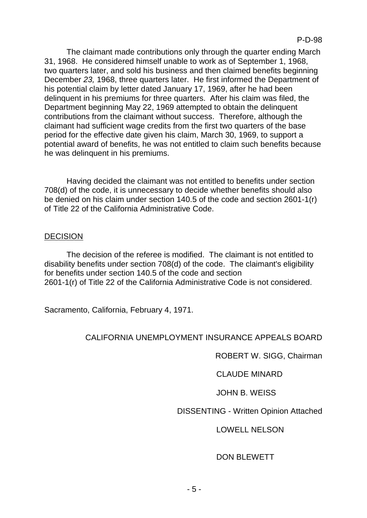The claimant made contributions only through the quarter ending March 31, 1968. He considered himself unable to work as of September 1, 1968, two quarters later, and sold his business and then claimed benefits beginning December *23,* 1968, three quarters later. He first informed the Department of his potential claim by letter dated January 17, 1969, after he had been delinquent in his premiums for three quarters. After his claim was filed, the Department beginning May 22, 1969 attempted to obtain the delinquent contributions from the claimant without success. Therefore, although the claimant had sufficient wage credits from the first two quarters of the base period for the effective date given his claim, March 30, 1969, to support a potential award of benefits, he was not entitled to claim such benefits because he was delinquent in his premiums.

Having decided the claimant was not entitled to benefits under section 708(d) of the code, it is unnecessary to decide whether benefits should also be denied on his claim under section 140.5 of the code and section 2601-1(r) of Title 22 of the California Administrative Code.

## **DECISION**

The decision of the referee is modified. The claimant is not entitled to disability benefits under section 708(d) of the code. The claimant's eligibility for benefits under section 140.5 of the code and section 2601-1(r) of Title 22 of the California Administrative Code is not considered.

Sacramento, California, February 4, 1971.

## CALIFORNIA UNEMPLOYMENT INSURANCE APPEALS BOARD

ROBERT W. SIGG, Chairman

CLAUDE MINARD

JOHN B. WEISS

DISSENTING - Written Opinion Attached

# LOWELL NELSON

# DON BLEWETT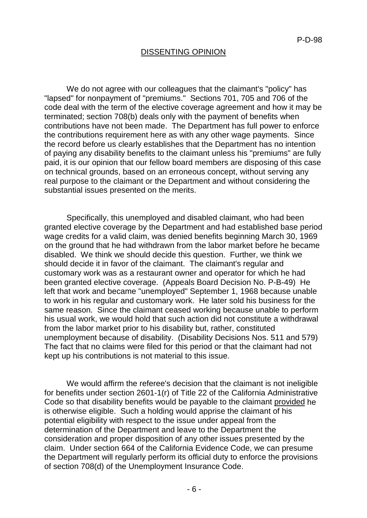#### DISSENTING OPINION

We do not agree with our colleagues that the claimant's "policy" has "lapsed" for nonpayment of "premiums." Sections 701, 705 and 706 of the code deal with the term of the elective coverage agreement and how it may be terminated; section 708(b) deals only with the payment of benefits when contributions have not been made. The Department has full power to enforce the contributions requirement here as with any other wage payments. Since the record before us clearly establishes that the Department has no intention of paying any disability benefits to the claimant unless his "premiums" are fully paid, it is our opinion that our fellow board members are disposing of this case on technical grounds, based on an erroneous concept, without serving any real purpose to the claimant or the Department and without considering the substantial issues presented on the merits.

Specifically, this unemployed and disabled claimant, who had been granted elective coverage by the Department and had established base period wage credits for a valid claim, was denied benefits beginning March 30, 1969 on the ground that he had withdrawn from the labor market before he became disabled. We think we should decide this question. Further, we think we should decide it in favor of the claimant. The claimant's regular and customary work was as a restaurant owner and operator for which he had been granted elective coverage. (Appeals Board Decision No. P-B-49) He left that work and became "unemployed" September 1, 1968 because unable to work in his regular and customary work. He later sold his business for the same reason. Since the claimant ceased working because unable to perform his usual work, we would hold that such action did not constitute a withdrawal from the labor market prior to his disability but, rather, constituted unemployment because of disability. (Disability Decisions Nos. 511 and 579) The fact that no claims were filed for this period or that the claimant had not kept up his contributions is not material to this issue.

We would affirm the referee's decision that the claimant is not ineligible for benefits under section 2601-1(r) of Title 22 of the California Administrative Code so that disability benefits would be payable to the claimant provided he is otherwise eligible. Such a holding would apprise the claimant of his potential eligibility with respect to the issue under appeal from the determination of the Department and leave to the Department the consideration and proper disposition of any other issues presented by the claim. Under section 664 of the California Evidence Code, we can presume the Department will regularly perform its official duty to enforce the provisions of section 708(d) of the Unemployment Insurance Code.